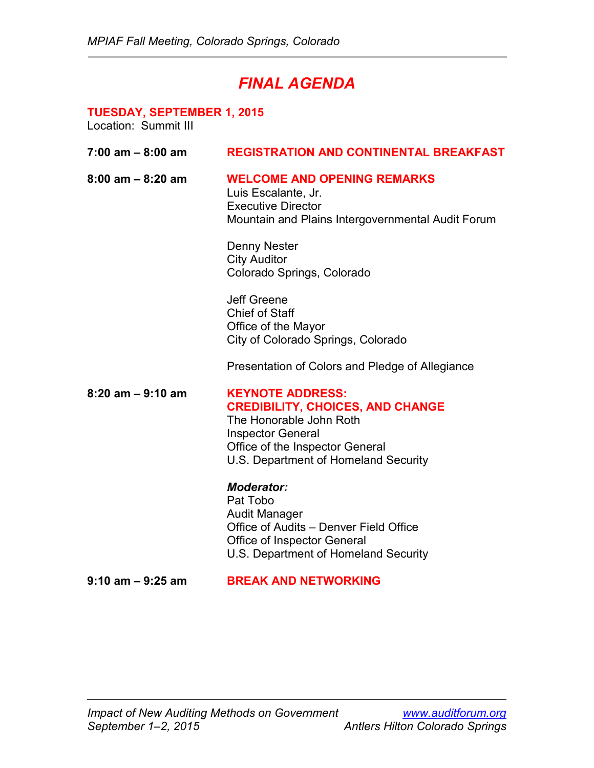# *FINAL AGENDA*

# **TUESDAY, SEPTEMBER 1, 2015**

| $7:00$ am $-8:00$ am | <b>REGISTRATION AND CONTINENTAL BREAKFAST</b>                                                                                                                                                        |
|----------------------|------------------------------------------------------------------------------------------------------------------------------------------------------------------------------------------------------|
| $8:00$ am $-8:20$ am | <b>WELCOME AND OPENING REMARKS</b><br>Luis Escalante, Jr.<br><b>Executive Director</b><br>Mountain and Plains Intergovernmental Audit Forum                                                          |
|                      | Denny Nester<br><b>City Auditor</b><br>Colorado Springs, Colorado                                                                                                                                    |
|                      | <b>Jeff Greene</b><br><b>Chief of Staff</b><br>Office of the Mayor<br>City of Colorado Springs, Colorado                                                                                             |
|                      | Presentation of Colors and Pledge of Allegiance                                                                                                                                                      |
| $8:20$ am $-9:10$ am | <b>KEYNOTE ADDRESS:</b><br><b>CREDIBILITY, CHOICES, AND CHANGE</b><br>The Honorable John Roth<br><b>Inspector General</b><br>Office of the Inspector General<br>U.S. Department of Homeland Security |
|                      | <b>Moderator:</b><br>Pat Tobo<br><b>Audit Manager</b><br>Office of Audits - Denver Field Office<br><b>Office of Inspector General</b><br>U.S. Department of Homeland Security                        |
| $9:10$ am $-9:25$ am | <b>BREAK AND NETWORKING</b>                                                                                                                                                                          |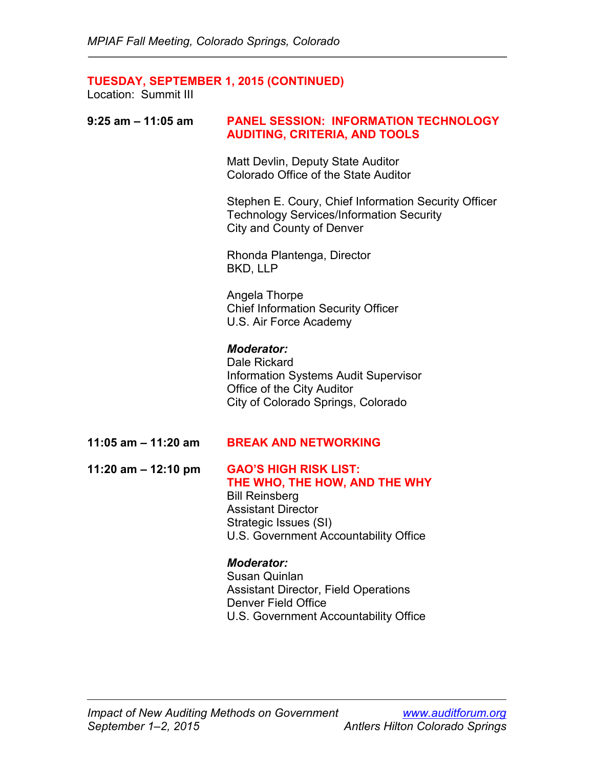## **TUESDAY, SEPTEMBER 1, 2015 (CONTINUED)**

Location: Summit III

# **9:25 am – 11:05 am PANEL SESSION: INFORMATION TECHNOLOGY AUDITING, CRITERIA, AND TOOLS**

Matt Devlin, Deputy State Auditor Colorado Office of the State Auditor

Stephen E. Coury, Chief Information Security Officer Technology Services/Information Security City and County of Denver

Rhonda Plantenga, Director BKD, LLP

Angela Thorpe Chief Information Security Officer U.S. Air Force Academy

#### *Moderator:*

Dale Rickard Information Systems Audit Supervisor Office of the City Auditor City of Colorado Springs, Colorado

#### **11:05 am – 11:20 am BREAK AND NETWORKING**

**11:20 am – 12:10 pm GAO'S HIGH RISK LIST: THE WHO, THE HOW, AND THE WHY** Bill Reinsberg

Assistant Director Strategic Issues (SI) U.S. Government Accountability Office

#### *Moderator:*

Susan Quinlan Assistant Director, Field Operations Denver Field Office U.S. Government Accountability Office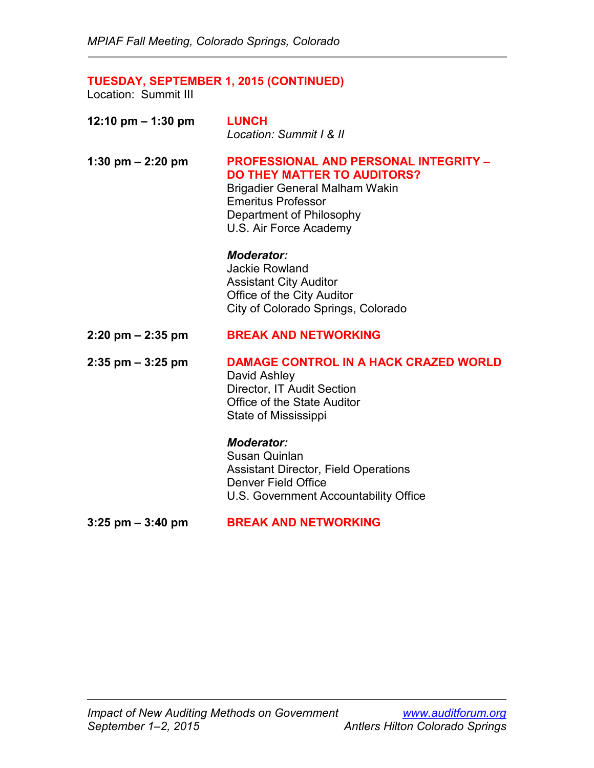# **TUESDAY, SEPTEMBER 1, 2015 (CONTINUED)**

Location: Summit III

| 12:10 pm $-$ 1:30 pm | <b>LUNCH</b><br>Location: Summit I & II                                                                                     |
|----------------------|-----------------------------------------------------------------------------------------------------------------------------|
| 1:30 pm $-$ 2:20 pm  | <b>PROFESSIONAL AND PERSONAL INTEGRITY -</b><br><b>DO THEY MATTER TO AUDITORS?</b><br><b>Brigadier General Malham Wakin</b> |

Emeritus Professor Department of Philosophy U.S. Air Force Academy

#### *Moderator:*

Jackie Rowland Assistant City Auditor Office of the City Auditor City of Colorado Springs, Colorado

### **2:20 pm – 2:35 pm BREAK AND NETWORKING**

**2:35 pm – 3:25 pm DAMAGE CONTROL IN A HACK CRAZED WORLD** David Ashley Director, IT Audit Section Office of the State Auditor

# *Moderator:*

State of Mississippi

Susan Quinlan Assistant Director, Field Operations Denver Field Office U.S. Government Accountability Office

#### **3:25 pm – 3:40 pm BREAK AND NETWORKING**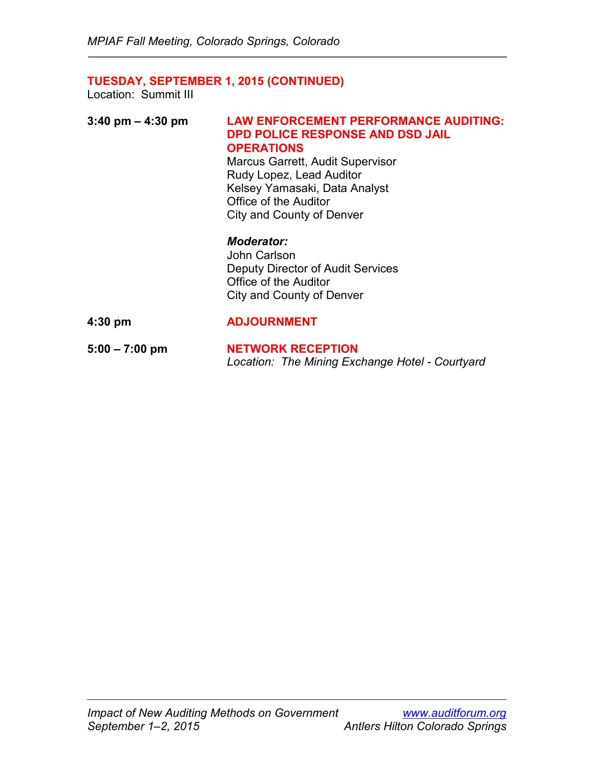# **TUESDAY, SEPTEMBER 1, 2015 (CONTINUED)**

| $3:40 \text{ pm} - 4:30 \text{ pm}$ | <b>LAW ENFORCEMENT PERFORMANCE AUDITING:</b><br><b>DPD POLICE RESPONSE AND DSD JAIL</b><br><b>OPERATIONS</b><br><b>Marcus Garrett, Audit Supervisor</b><br>Rudy Lopez, Lead Auditor<br>Kelsey Yamasaki, Data Analyst<br>Office of the Auditor<br>City and County of Denver |
|-------------------------------------|----------------------------------------------------------------------------------------------------------------------------------------------------------------------------------------------------------------------------------------------------------------------------|
|                                     | <b>Moderator:</b><br>John Carlson<br><b>Deputy Director of Audit Services</b><br>Office of the Auditor<br>City and County of Denver                                                                                                                                        |
| $4:30$ pm                           | <b>ADJOURNMENT</b>                                                                                                                                                                                                                                                         |
| $5:00 - 7:00$ pm                    | <b>NETWORK RECEPTION</b><br>Location: The Mining Exchange Hotel - Courtyard                                                                                                                                                                                                |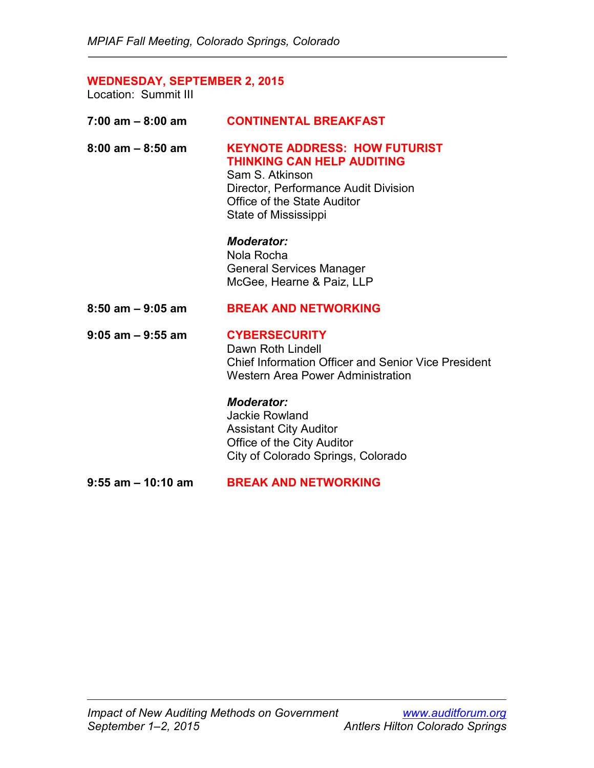# **WEDNESDAY, SEPTEMBER 2, 2015**

| $7:00$ am $-8:00$ am  | <b>CONTINENTAL BREAKFAST</b>                                                                                                                                                                |
|-----------------------|---------------------------------------------------------------------------------------------------------------------------------------------------------------------------------------------|
| $8:00$ am $-8:50$ am  | <b>KEYNOTE ADDRESS: HOW FUTURIST</b><br><b>THINKING CAN HELP AUDITING</b><br>Sam S. Atkinson<br>Director, Performance Audit Division<br>Office of the State Auditor<br>State of Mississippi |
|                       | <b>Moderator:</b><br>Nola Rocha<br><b>General Services Manager</b><br>McGee, Hearne & Paiz, LLP                                                                                             |
|                       |                                                                                                                                                                                             |
| $8:50$ am $-9:05$ am  | <b>BREAK AND NETWORKING</b>                                                                                                                                                                 |
| $9:05$ am - $9:55$ am | <b>CYBERSECURITY</b><br>Dawn Roth Lindell<br><b>Chief Information Officer and Senior Vice President</b><br><b>Western Area Power Administration</b>                                         |
|                       | <b>Moderator:</b><br><b>Jackie Rowland</b><br><b>Assistant City Auditor</b><br>Office of the City Auditor<br>City of Colorado Springs, Colorado                                             |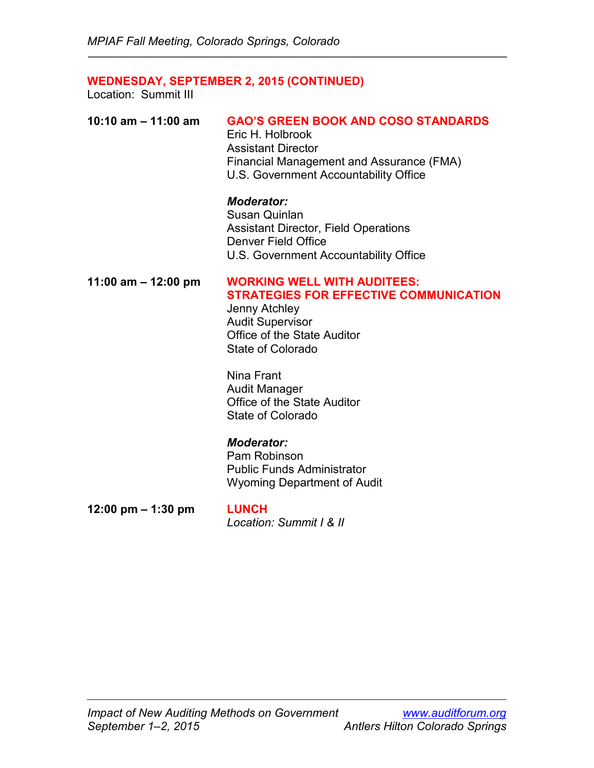### **WEDNESDAY, SEPTEMBER 2, 2015 (CONTINUED)**

Location: Summit III

| 10:10 am $-$ 11:00 am | <b>GAO'S GREEN BOOK AND COSO STANDARDS</b> |
|-----------------------|--------------------------------------------|
|                       | Eric H. Holbrook                           |
|                       | <b>Assistant Director</b>                  |
|                       | Financial Management and Assurance (FMA)   |
|                       | U.S. Government Accountability Office      |

#### *Moderator:*

Susan Quinlan Assistant Director, Field Operations Denver Field Office U.S. Government Accountability Office

# **11:00 am – 12:00 pm WORKING WELL WITH AUDITEES: STRATEGIES FOR EFFECTIVE COMMUNICATION**

Jenny Atchley Audit Supervisor Office of the State Auditor State of Colorado

Nina Frant Audit Manager Office of the State Auditor State of Colorado

#### *Moderator:*

Pam Robinson Public Funds Administrator Wyoming Department of Audit

**12:00 pm – 1:30 pm LUNCH**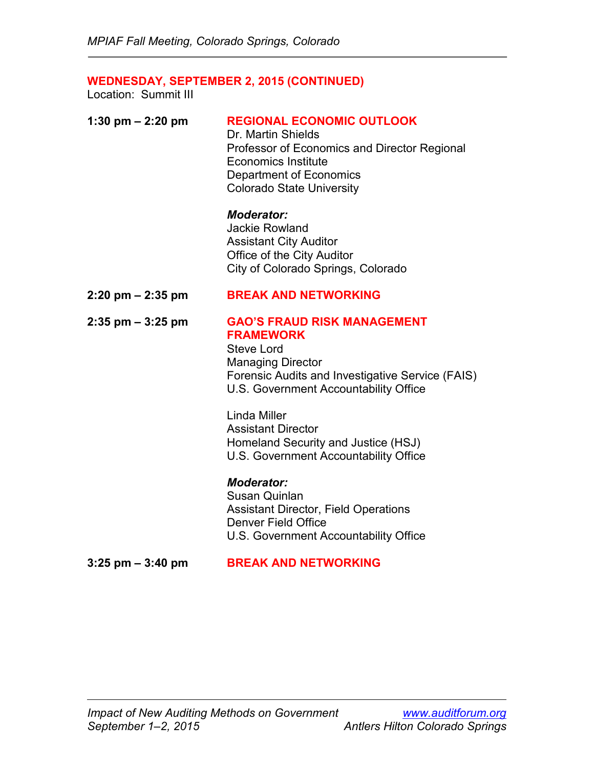# **WEDNESDAY, SEPTEMBER 2, 2015 (CONTINUED)**

| 1:30 pm $- 2:20$ pm                 | <b>REGIONAL ECONOMIC OUTLOOK</b><br>Dr. Martin Shields<br>Professor of Economics and Director Regional<br><b>Economics Institute</b><br><b>Department of Economics</b><br><b>Colorado State University</b> |
|-------------------------------------|------------------------------------------------------------------------------------------------------------------------------------------------------------------------------------------------------------|
|                                     | <b>Moderator:</b><br><b>Jackie Rowland</b><br><b>Assistant City Auditor</b><br>Office of the City Auditor<br>City of Colorado Springs, Colorado                                                            |
| $2:20 \text{ pm} - 2:35 \text{ pm}$ | <b>BREAK AND NETWORKING</b>                                                                                                                                                                                |
| $2:35$ pm $-3:25$ pm                | <b>GAO'S FRAUD RISK MANAGEMENT</b><br><b>FRAMEWORK</b><br><b>Steve Lord</b><br><b>Managing Director</b><br>Forensic Audits and Investigative Service (FAIS)<br>U.S. Government Accountability Office       |
|                                     | <b>Linda Miller</b><br><b>Assistant Director</b><br>Homeland Security and Justice (HSJ)<br>U.S. Government Accountability Office                                                                           |
|                                     | <b>Moderator:</b><br><b>Susan Quinlan</b><br><b>Assistant Director, Field Operations</b><br><b>Denver Field Office</b><br>U.S. Government Accountability Office                                            |
| $3:25$ pm $-3:40$ pm                | <b>BREAK AND NETWORKING</b>                                                                                                                                                                                |